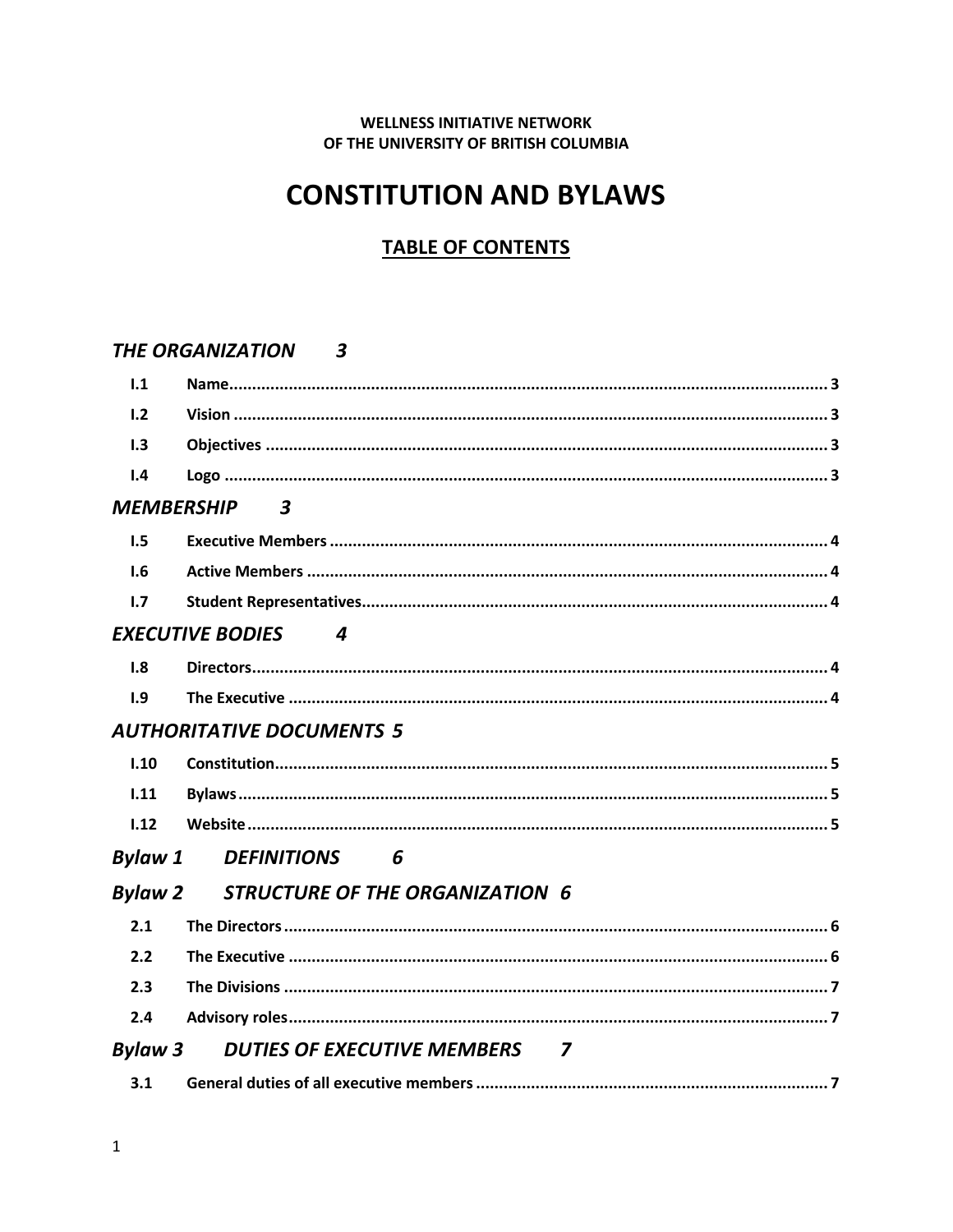#### **WELLNESS INITIATIVE NETWORK** OF THE UNIVERSITY OF BRITISH COLUMBIA

# **CONSTITUTION AND BYLAWS**

# **TABLE OF CONTENTS**

#### THE ORGANIZATION 3

| 1.1               |                                        |
|-------------------|----------------------------------------|
| 1.2               |                                        |
| 1.3               |                                        |
| 1.4               |                                        |
| <b>MEMBERSHIP</b> | $\overline{\mathbf{3}}$                |
| 1.5               |                                        |
| 1.6               |                                        |
| 1.7               |                                        |
|                   | <b>EXECUTIVE BODIES</b><br>4           |
| 1.8               |                                        |
| 1.9               |                                        |
|                   | <b>AUTHORITATIVE DOCUMENTS 5</b>       |
| 1.10              |                                        |
| 1.11              |                                        |
| 1.12              |                                        |
| <b>Bylaw 1</b>    | <b>DEFINITIONS</b><br>6                |
| <b>Bylaw 2</b>    | <b>STRUCTURE OF THE ORGANIZATION 6</b> |
| 2.1               |                                        |
| 2.2               |                                        |
| 2.3               |                                        |
| 2.4               |                                        |
| <b>Bylaw 3</b>    | <b>DUTIES OF EXECUTIVE MEMBERS 7</b>   |
| 3.1               |                                        |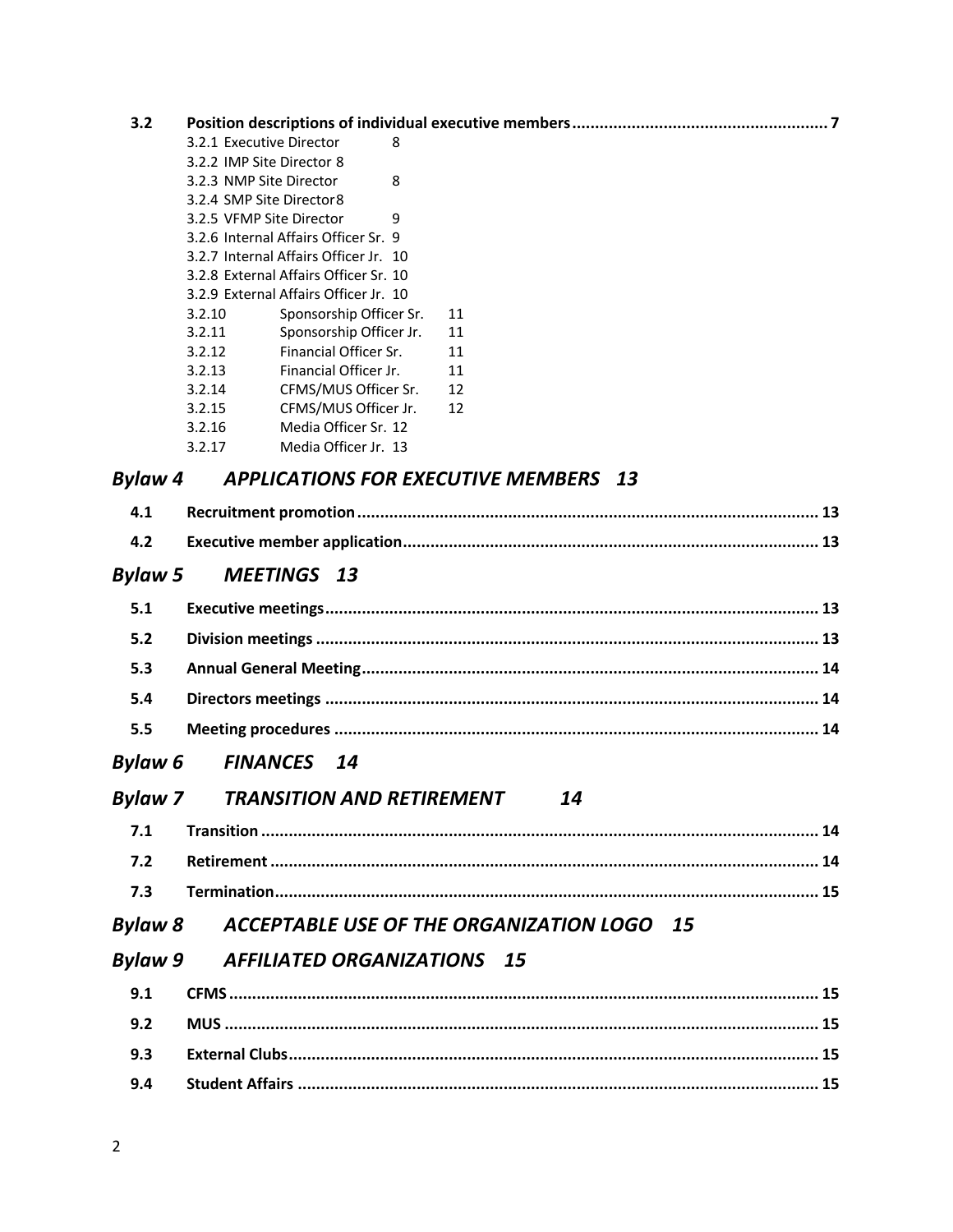| 3.2            |                                                                                |
|----------------|--------------------------------------------------------------------------------|
|                | 3.2.1 Executive Director<br>8                                                  |
|                | 3.2.2 IMP Site Director 8                                                      |
|                | 3.2.3 NMP Site Director<br>8                                                   |
|                | 3.2.4 SMP Site Director8                                                       |
|                | 3.2.5 VFMP Site Director<br>9                                                  |
|                | 3.2.6 Internal Affairs Officer Sr. 9                                           |
|                | 3.2.7 Internal Affairs Officer Jr. 10<br>3.2.8 External Affairs Officer Sr. 10 |
|                | 3.2.9 External Affairs Officer Jr. 10                                          |
|                | 3.2.10<br>Sponsorship Officer Sr.<br>11                                        |
|                | 3.2.11<br>Sponsorship Officer Jr.<br>11                                        |
|                | Financial Officer Sr.<br>3.2.12<br>11                                          |
|                | Financial Officer Jr.<br>3.2.13<br>11                                          |
|                | CFMS/MUS Officer Sr.<br>3.2.14<br>12                                           |
|                | CFMS/MUS Officer Jr.<br>3.2.15<br>12                                           |
|                | Media Officer Sr. 12<br>3.2.16                                                 |
|                | Media Officer Jr. 13<br>3.2.17                                                 |
| <b>Bylaw 4</b> | <b>APPLICATIONS FOR EXECUTIVE MEMBERS 13</b>                                   |
| 4.1            |                                                                                |
| 4.2            |                                                                                |
| <b>Bylaw 5</b> | <b>MEETINGS 13</b>                                                             |
| 5.1            |                                                                                |
| 5.2            |                                                                                |
| 5.3            |                                                                                |
| 5.4            |                                                                                |
| 5.5            |                                                                                |
| <b>Bylaw 6</b> | <b>FINANCES</b><br>- 14                                                        |
| <b>Bylaw 7</b> | <b>TRANSITION AND RETIREMENT</b><br>14                                         |
| 7.1            |                                                                                |
| 7.2            |                                                                                |
| 7.3            |                                                                                |
| <b>Bylaw 8</b> | ACCEPTABLE USE OF THE ORGANIZATION LOGO 15                                     |
| <b>Bylaw 9</b> | <b>AFFILIATED ORGANIZATIONS 15</b>                                             |
| 9.1            |                                                                                |
| 9.2            |                                                                                |
| 9.3            |                                                                                |
| 9.4            |                                                                                |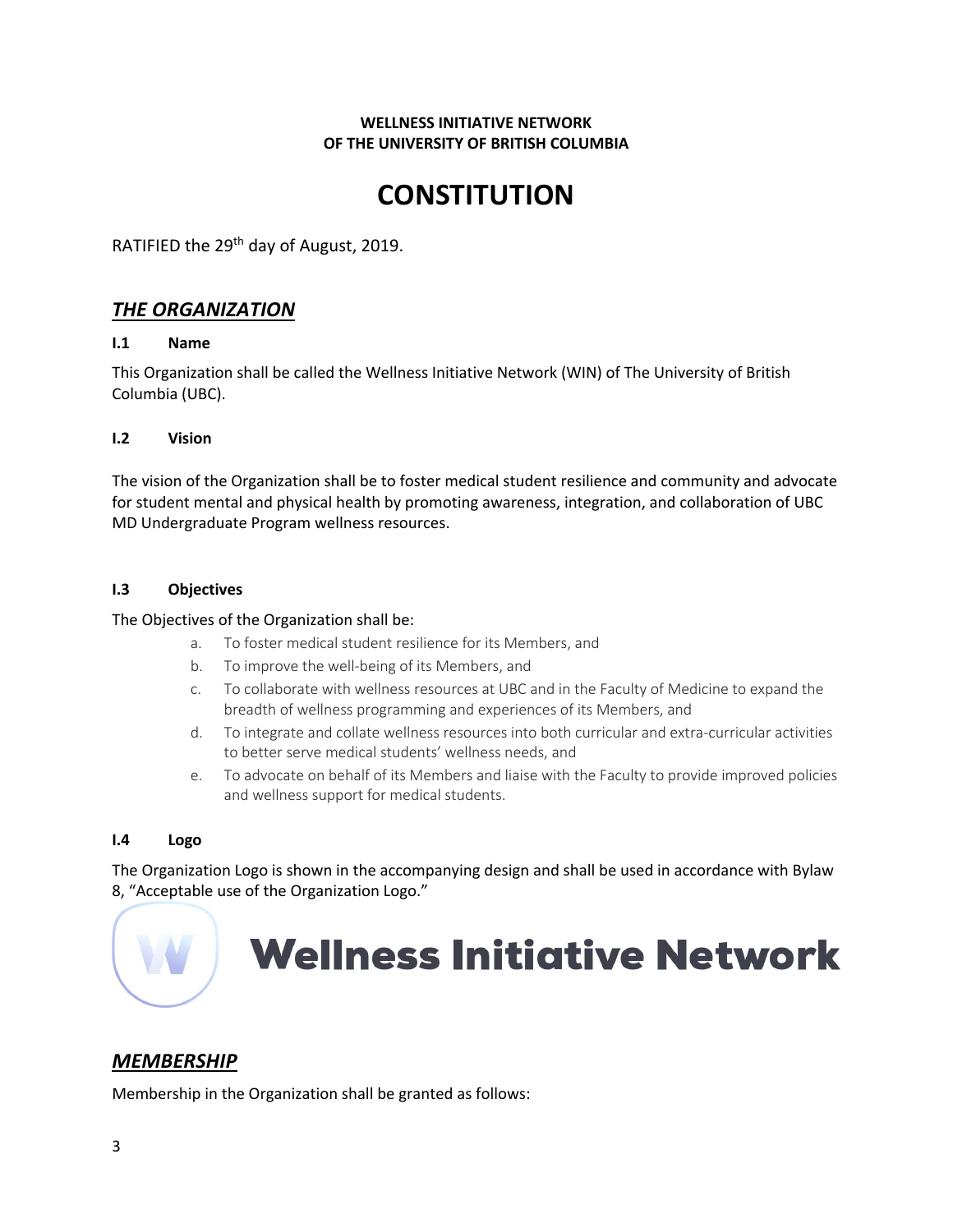#### **WELLNESS INITIATIVE NETWORK OF THE UNIVERSITY OF BRITISH COLUMBIA**

# **CONSTITUTION**

RATIFIED the 29<sup>th</sup> day of August, 2019.

#### *THE ORGANIZATION*

#### **I.1 Name**

This Organization shall be called the Wellness Initiative Network (WIN) of The University of British Columbia (UBC).

#### **I.2 Vision**

The vision of the Organization shall be to foster medical student resilience and community and advocate for student mental and physical health by promoting awareness, integration, and collaboration of UBC MD Undergraduate Program wellness resources.

#### **I.3 Objectives**

#### The Objectives of the Organization shall be:

- a. To foster medical student resilience for its Members, and
- b. To improve the well-being of its Members, and
- c. To collaborate with wellness resources at UBC and in the Faculty of Medicine to expand the breadth of wellness programming and experiences of its Members, and
- d. To integrate and collate wellness resources into both curricular and extra-curricular activities to better serve medical students' wellness needs, and
- e. To advocate on behalf of its Members and liaise with the Faculty to provide improved policies and wellness support for medical students.

#### **I.4 Logo**

The Organization Logo is shown in the accompanying design and shall be used in accordance with Bylaw 8, "Acceptable use of the Organization Logo."

# **Wellness Initiative Network**

# *MEMBERSHIP*

Membership in the Organization shall be granted as follows: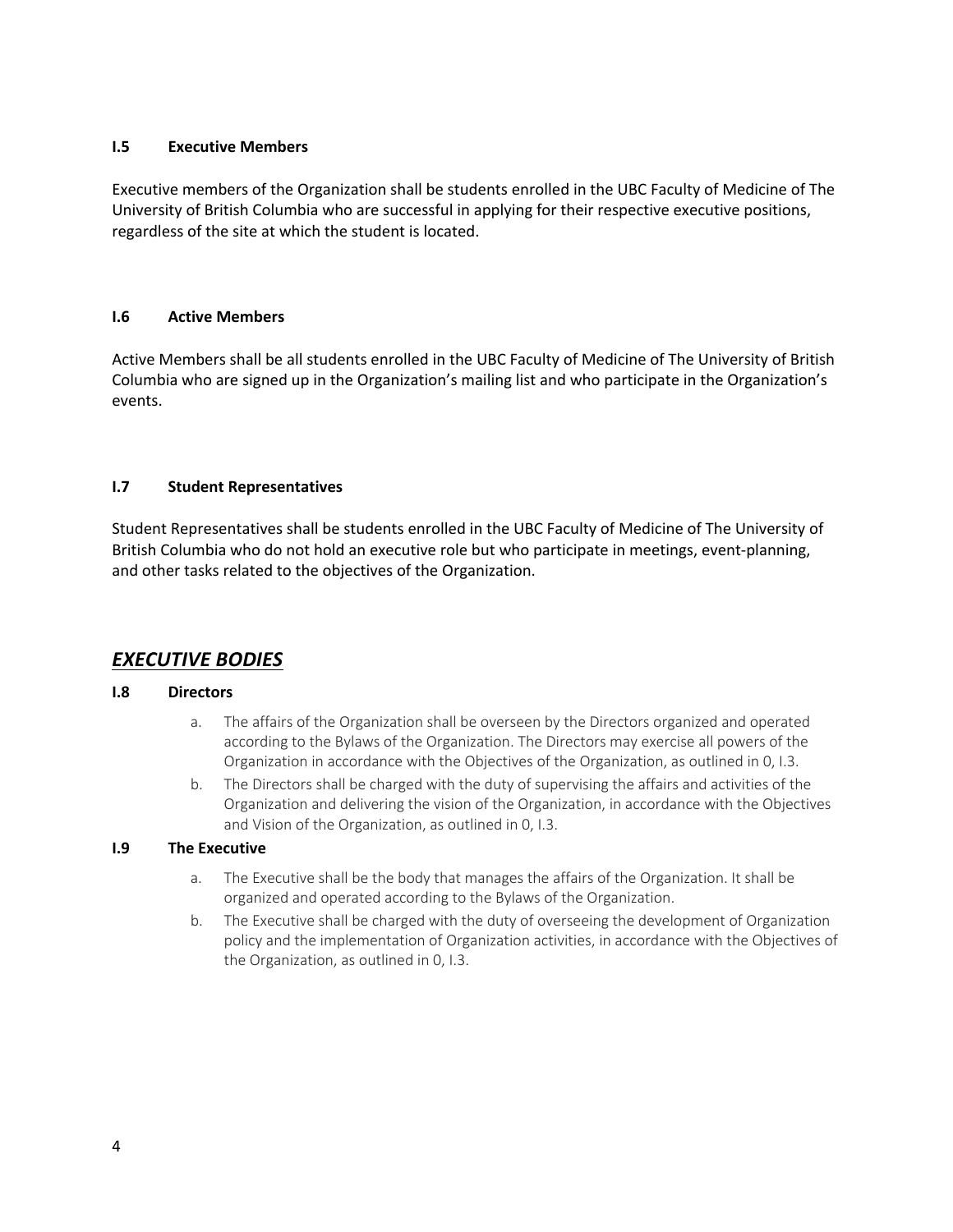#### **I.5 Executive Members**

Executive members of the Organization shall be students enrolled in the UBC Faculty of Medicine of The University of British Columbia who are successful in applying for their respective executive positions, regardless of the site at which the student is located.

#### **I.6 Active Members**

Active Members shall be all students enrolled in the UBC Faculty of Medicine of The University of British Columbia who are signed up in the Organization's mailing list and who participate in the Organization's events.

#### **I.7 Student Representatives**

Student Representatives shall be students enrolled in the UBC Faculty of Medicine of The University of British Columbia who do not hold an executive role but who participate in meetings, event-planning, and other tasks related to the objectives of the Organization.

#### *EXECUTIVE BODIES*

#### **I.8 Directors**

- a. The affairs of the Organization shall be overseen by the Directors organized and operated according to the Bylaws of the Organization. The Directors may exercise all powers of the Organization in accordance with the Objectives of the Organization, as outlined in 0, I.3.
- b. The Directors shall be charged with the duty of supervising the affairs and activities of the Organization and delivering the vision of the Organization, in accordance with the Objectives and Vision of the Organization, as outlined in 0, I.3.

#### **I.9 The Executive**

- a. The Executive shall be the body that manages the affairs of the Organization. It shall be organized and operated according to the Bylaws of the Organization.
- b. The Executive shall be charged with the duty of overseeing the development of Organization policy and the implementation of Organization activities, in accordance with the Objectives of the Organization, as outlined in 0, I.3.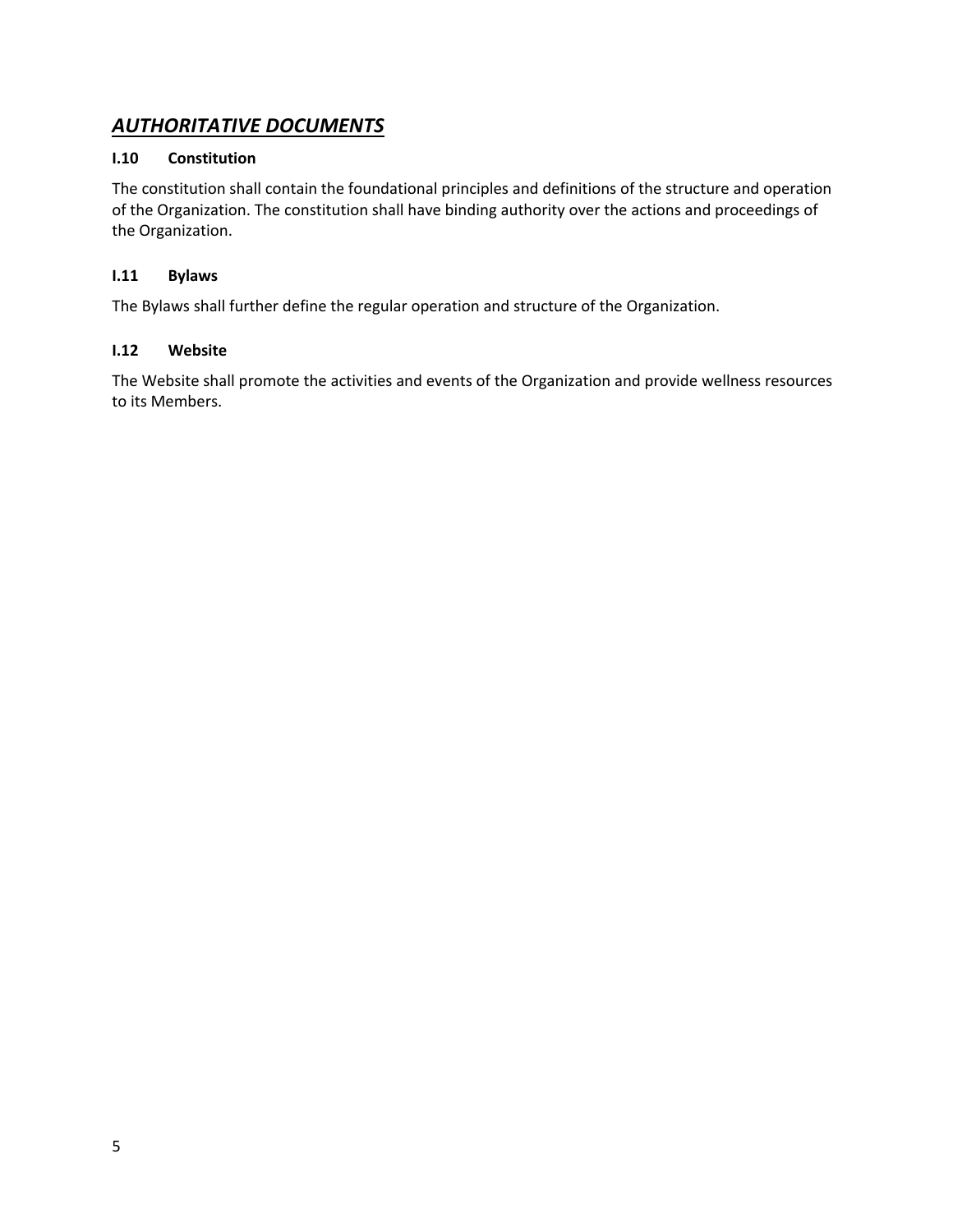# *AUTHORITATIVE DOCUMENTS*

#### **I.10 Constitution**

The constitution shall contain the foundational principles and definitions of the structure and operation of the Organization. The constitution shall have binding authority over the actions and proceedings of the Organization.

#### **I.11 Bylaws**

The Bylaws shall further define the regular operation and structure of the Organization.

#### **I.12 Website**

The Website shall promote the activities and events of the Organization and provide wellness resources to its Members.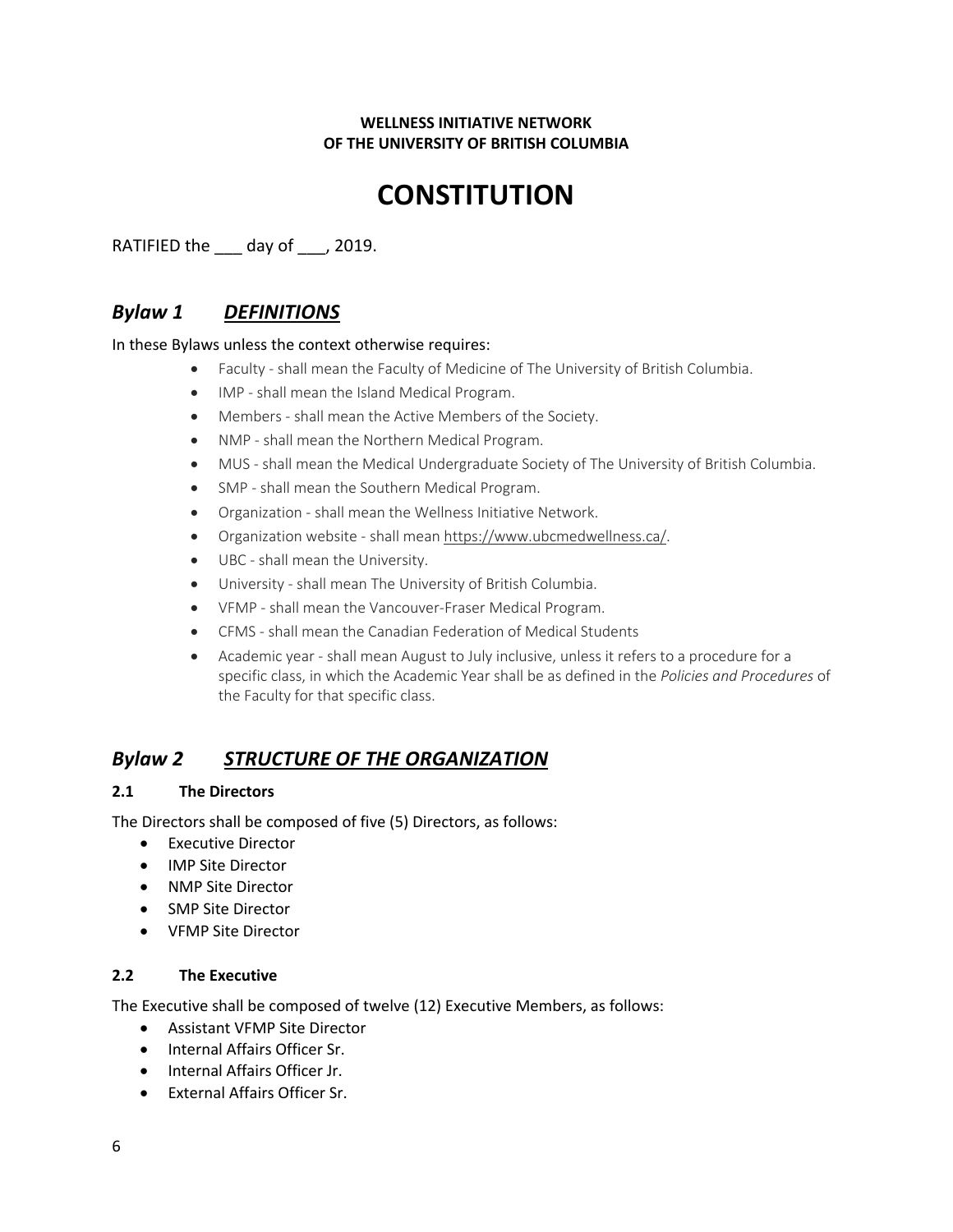#### **WELLNESS INITIATIVE NETWORK OF THE UNIVERSITY OF BRITISH COLUMBIA**

# **CONSTITUTION**

RATIFIED the \_\_\_ day of \_\_\_, 2019.

# *Bylaw 1 DEFINITIONS*

In these Bylaws unless the context otherwise requires:

- Faculty shall mean the Faculty of Medicine of The University of British Columbia.
- IMP shall mean the Island Medical Program.
- Members shall mean the Active Members of the Society.
- NMP shall mean the Northern Medical Program.
- MUS shall mean the Medical Undergraduate Society of The University of British Columbia.
- SMP shall mean the Southern Medical Program.
- Organization shall mean the Wellness Initiative Network.
- Organization website shall mean https://www.ubcmedwellness.ca/.
- UBC shall mean the University.
- University shall mean The University of British Columbia.
- VFMP shall mean the Vancouver-Fraser Medical Program.
- CFMS shall mean the Canadian Federation of Medical Students
- Academic year shall mean August to July inclusive, unless it refers to a procedure for a specific class, in which the Academic Year shall be as defined in the *Policies and Procedures* of the Faculty for that specific class.

### *Bylaw 2 STRUCTURE OF THE ORGANIZATION*

#### **2.1 The Directors**

The Directors shall be composed of five (5) Directors, as follows:

- Executive Director
- IMP Site Director
- NMP Site Director
- SMP Site Director
- VFMP Site Director

#### **2.2 The Executive**

The Executive shall be composed of twelve (12) Executive Members, as follows:

- Assistant VFMP Site Director
- Internal Affairs Officer Sr.
- Internal Affairs Officer Jr.
- External Affairs Officer Sr.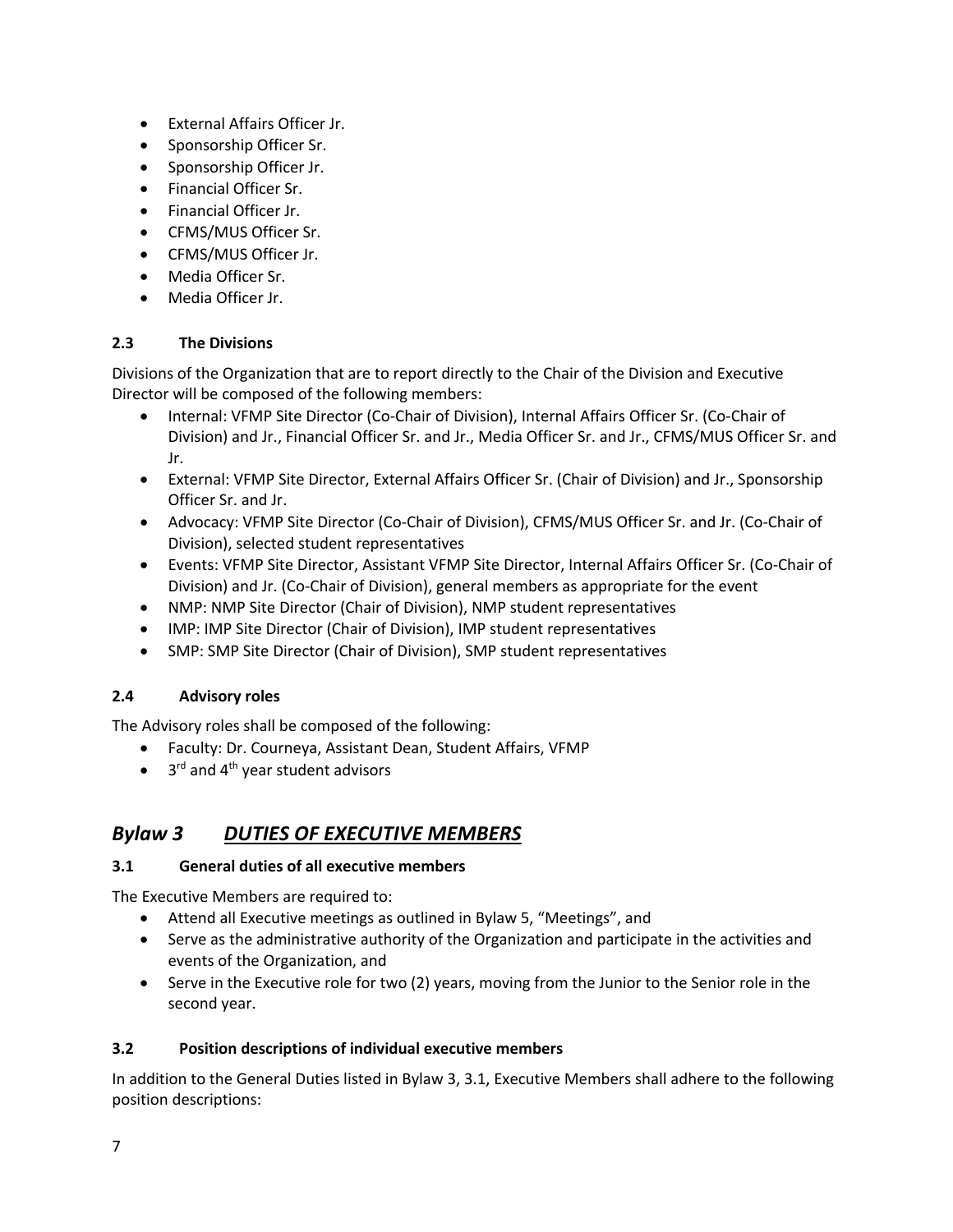- External Affairs Officer Jr.
- Sponsorship Officer Sr.
- Sponsorship Officer Jr.
- Financial Officer Sr.
- Financial Officer Jr.
- CFMS/MUS Officer Sr.
- CFMS/MUS Officer Jr.
- Media Officer Sr.
- Media Officer Jr.

#### **2.3 The Divisions**

Divisions of the Organization that are to report directly to the Chair of the Division and Executive Director will be composed of the following members:

- Internal: VFMP Site Director (Co-Chair of Division), Internal Affairs Officer Sr. (Co-Chair of Division) and Jr., Financial Officer Sr. and Jr., Media Officer Sr. and Jr., CFMS/MUS Officer Sr. and Jr.
- External: VFMP Site Director, External Affairs Officer Sr. (Chair of Division) and Jr., Sponsorship Officer Sr. and Jr.
- Advocacy: VFMP Site Director (Co-Chair of Division), CFMS/MUS Officer Sr. and Jr. (Co-Chair of Division), selected student representatives
- Events: VFMP Site Director, Assistant VFMP Site Director, Internal Affairs Officer Sr. (Co-Chair of Division) and Jr. (Co-Chair of Division), general members as appropriate for the event
- NMP: NMP Site Director (Chair of Division), NMP student representatives
- IMP: IMP Site Director (Chair of Division), IMP student representatives
- SMP: SMP Site Director (Chair of Division), SMP student representatives

#### **2.4 Advisory roles**

The Advisory roles shall be composed of the following:

- Faculty: Dr. Courneya, Assistant Dean, Student Affairs, VFMP
- $\bullet$  3<sup>rd</sup> and 4<sup>th</sup> year student advisors

# *Bylaw 3 DUTIES OF EXECUTIVE MEMBERS*

#### **3.1 General duties of all executive members**

The Executive Members are required to:

- Attend all Executive meetings as outlined in Bylaw 5, "Meetings", and
- Serve as the administrative authority of the Organization and participate in the activities and events of the Organization, and
- Serve in the Executive role for two (2) years, moving from the Junior to the Senior role in the second year.

#### **3.2 Position descriptions of individual executive members**

In addition to the General Duties listed in Bylaw 3, 3.1, Executive Members shall adhere to the following position descriptions: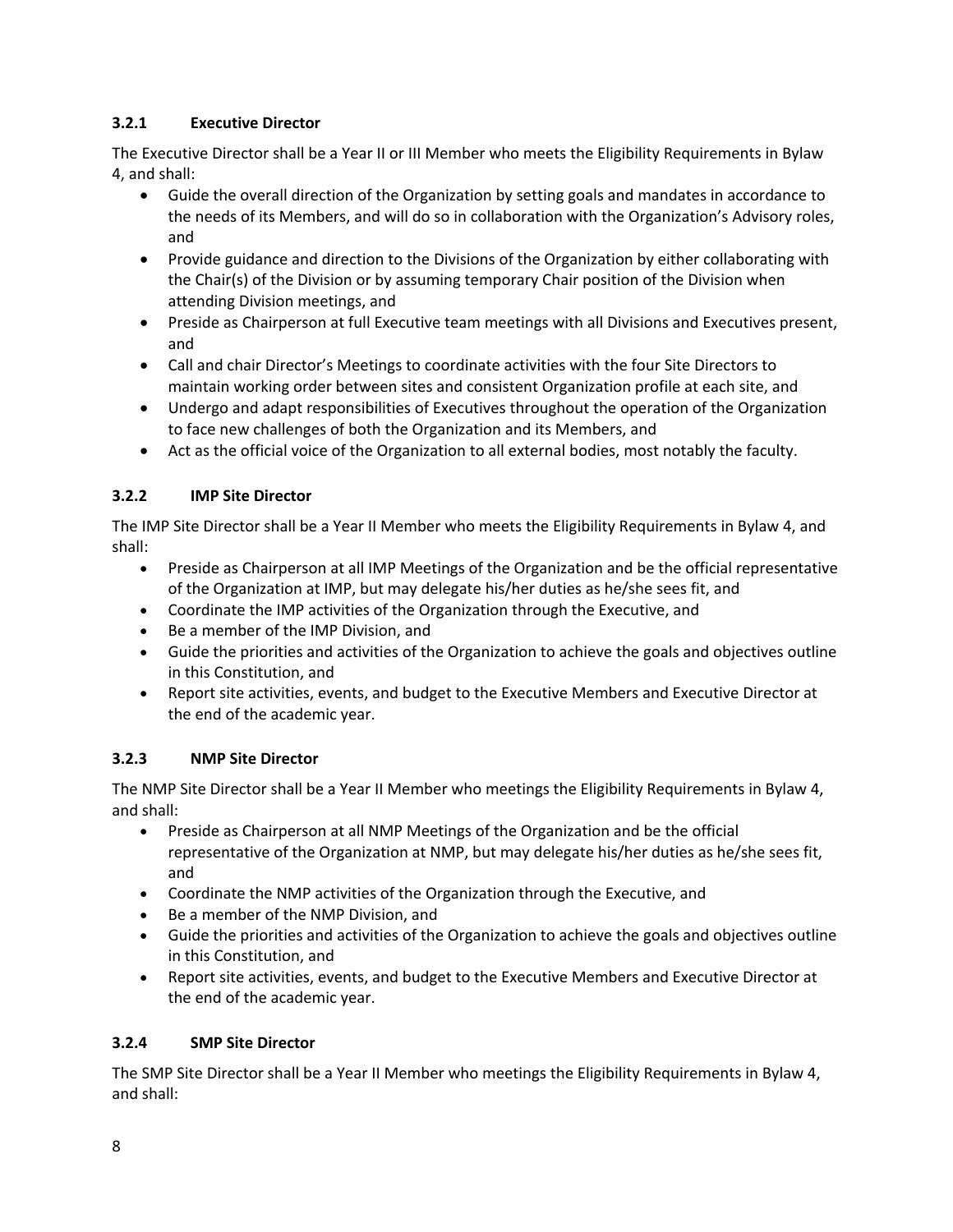#### **3.2.1 Executive Director**

The Executive Director shall be a Year II or III Member who meets the Eligibility Requirements in Bylaw 4, and shall:

- Guide the overall direction of the Organization by setting goals and mandates in accordance to the needs of its Members, and will do so in collaboration with the Organization's Advisory roles, and
- Provide guidance and direction to the Divisions of the Organization by either collaborating with the Chair(s) of the Division or by assuming temporary Chair position of the Division when attending Division meetings, and
- Preside as Chairperson at full Executive team meetings with all Divisions and Executives present, and
- Call and chair Director's Meetings to coordinate activities with the four Site Directors to maintain working order between sites and consistent Organization profile at each site, and
- Undergo and adapt responsibilities of Executives throughout the operation of the Organization to face new challenges of both the Organization and its Members, and
- Act as the official voice of the Organization to all external bodies, most notably the faculty.

#### **3.2.2 IMP Site Director**

The IMP Site Director shall be a Year II Member who meets the Eligibility Requirements in Bylaw 4, and shall:

- Preside as Chairperson at all IMP Meetings of the Organization and be the official representative of the Organization at IMP, but may delegate his/her duties as he/she sees fit, and
- Coordinate the IMP activities of the Organization through the Executive, and
- Be a member of the IMP Division, and
- Guide the priorities and activities of the Organization to achieve the goals and objectives outline in this Constitution, and
- Report site activities, events, and budget to the Executive Members and Executive Director at the end of the academic year.

#### **3.2.3 NMP Site Director**

The NMP Site Director shall be a Year II Member who meetings the Eligibility Requirements in Bylaw 4, and shall:

- Preside as Chairperson at all NMP Meetings of the Organization and be the official representative of the Organization at NMP, but may delegate his/her duties as he/she sees fit, and
- Coordinate the NMP activities of the Organization through the Executive, and
- Be a member of the NMP Division, and
- Guide the priorities and activities of the Organization to achieve the goals and objectives outline in this Constitution, and
- Report site activities, events, and budget to the Executive Members and Executive Director at the end of the academic year.

#### **3.2.4 SMP Site Director**

The SMP Site Director shall be a Year II Member who meetings the Eligibility Requirements in Bylaw 4, and shall: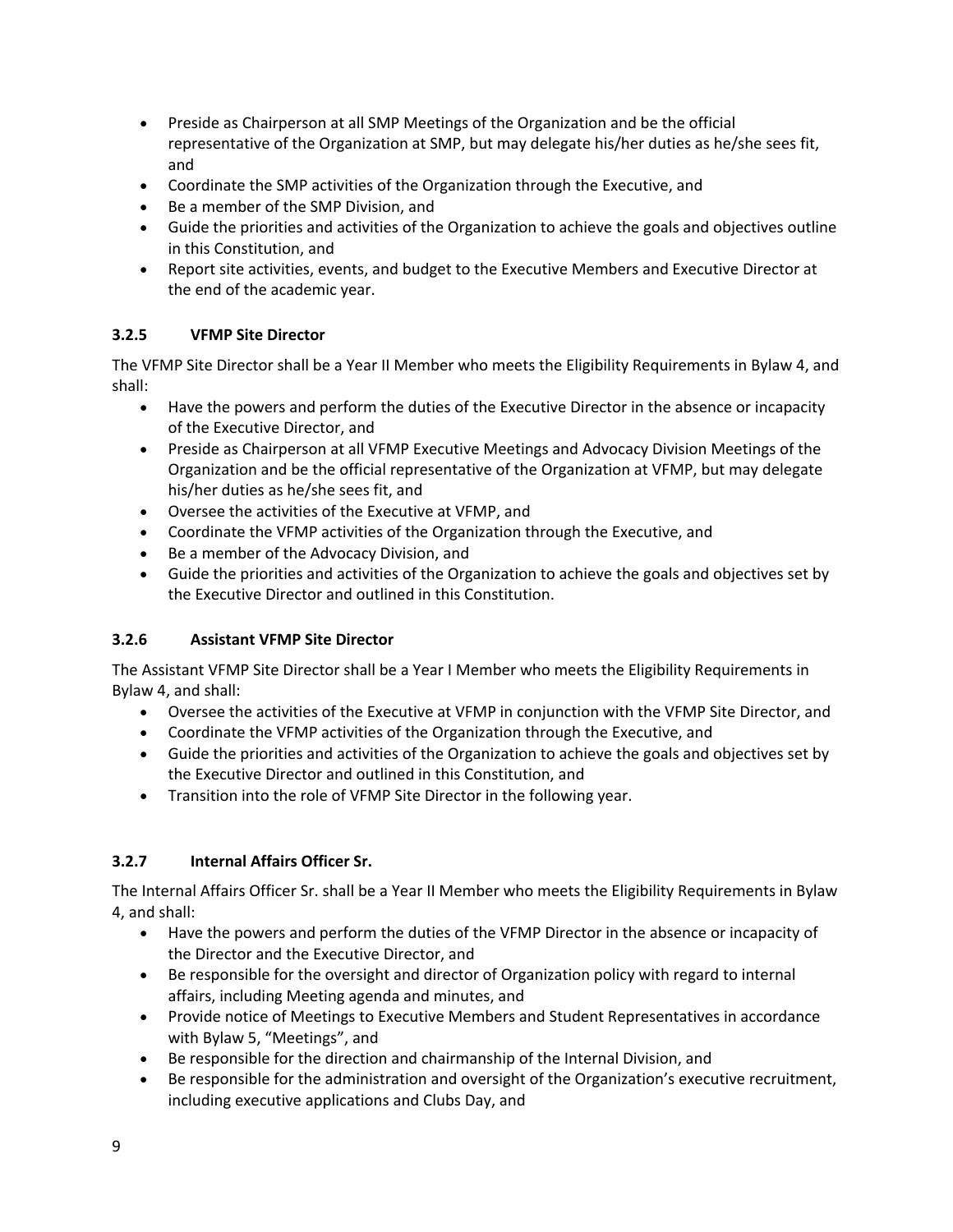- Preside as Chairperson at all SMP Meetings of the Organization and be the official representative of the Organization at SMP, but may delegate his/her duties as he/she sees fit, and
- Coordinate the SMP activities of the Organization through the Executive, and
- Be a member of the SMP Division, and
- Guide the priorities and activities of the Organization to achieve the goals and objectives outline in this Constitution, and
- Report site activities, events, and budget to the Executive Members and Executive Director at the end of the academic year.

#### **3.2.5 VFMP Site Director**

The VFMP Site Director shall be a Year II Member who meets the Eligibility Requirements in Bylaw 4, and shall:

- Have the powers and perform the duties of the Executive Director in the absence or incapacity of the Executive Director, and
- Preside as Chairperson at all VFMP Executive Meetings and Advocacy Division Meetings of the Organization and be the official representative of the Organization at VFMP, but may delegate his/her duties as he/she sees fit, and
- Oversee the activities of the Executive at VFMP, and
- Coordinate the VFMP activities of the Organization through the Executive, and
- Be a member of the Advocacy Division, and
- Guide the priorities and activities of the Organization to achieve the goals and objectives set by the Executive Director and outlined in this Constitution.

#### **3.2.6 Assistant VFMP Site Director**

The Assistant VFMP Site Director shall be a Year I Member who meets the Eligibility Requirements in Bylaw 4, and shall:

- Oversee the activities of the Executive at VFMP in conjunction with the VFMP Site Director, and
- Coordinate the VFMP activities of the Organization through the Executive, and
- Guide the priorities and activities of the Organization to achieve the goals and objectives set by the Executive Director and outlined in this Constitution, and
- Transition into the role of VFMP Site Director in the following year.

#### **3.2.7 Internal Affairs Officer Sr.**

The Internal Affairs Officer Sr. shall be a Year II Member who meets the Eligibility Requirements in Bylaw 4, and shall:

- Have the powers and perform the duties of the VFMP Director in the absence or incapacity of the Director and the Executive Director, and
- Be responsible for the oversight and director of Organization policy with regard to internal affairs, including Meeting agenda and minutes, and
- Provide notice of Meetings to Executive Members and Student Representatives in accordance with Bylaw 5, "Meetings", and
- Be responsible for the direction and chairmanship of the Internal Division, and
- Be responsible for the administration and oversight of the Organization's executive recruitment, including executive applications and Clubs Day, and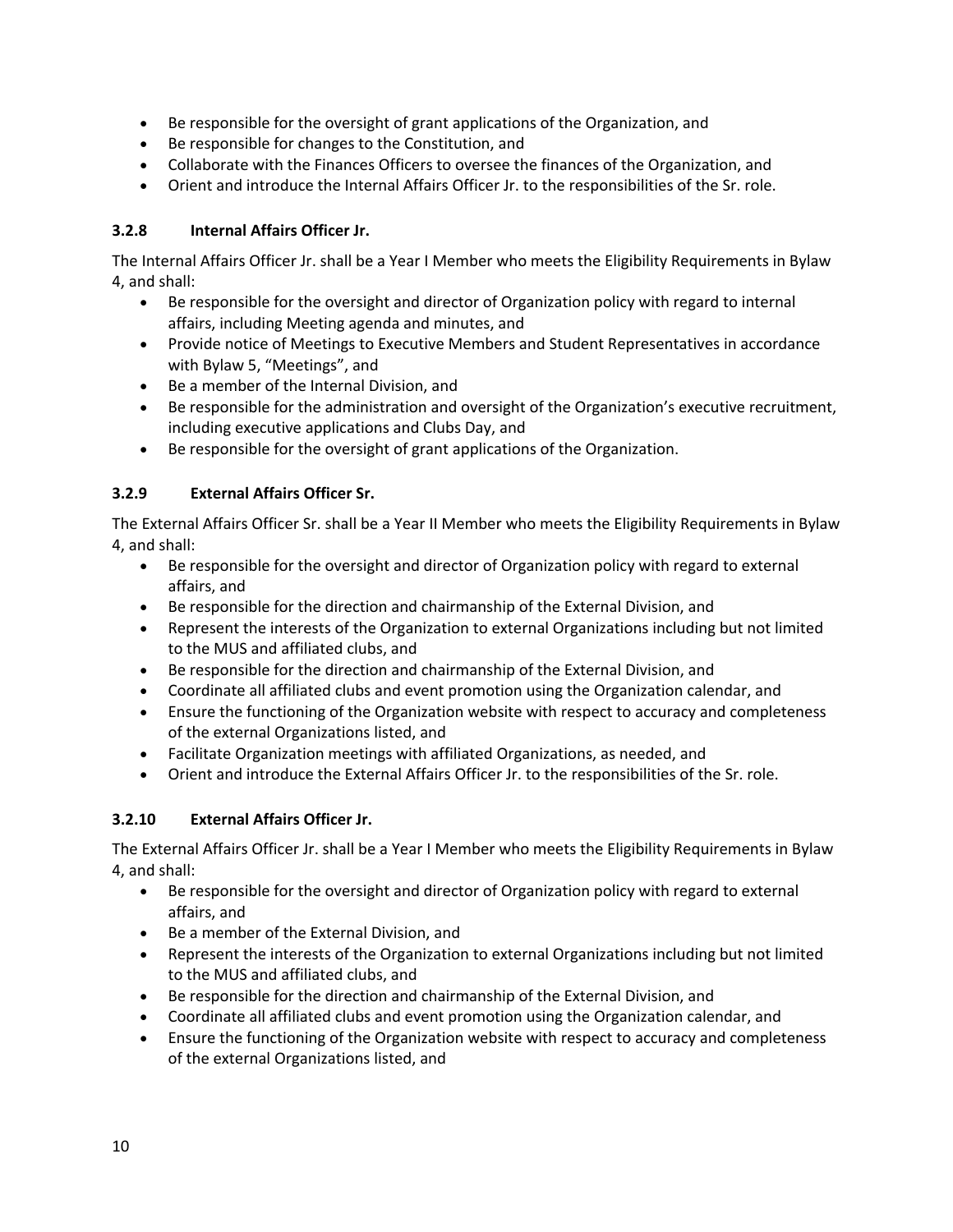- Be responsible for the oversight of grant applications of the Organization, and
- Be responsible for changes to the Constitution, and
- Collaborate with the Finances Officers to oversee the finances of the Organization, and
- Orient and introduce the Internal Affairs Officer Jr. to the responsibilities of the Sr. role.

#### **3.2.8 Internal Affairs Officer Jr.**

The Internal Affairs Officer Jr. shall be a Year I Member who meets the Eligibility Requirements in Bylaw 4, and shall:

- Be responsible for the oversight and director of Organization policy with regard to internal affairs, including Meeting agenda and minutes, and
- Provide notice of Meetings to Executive Members and Student Representatives in accordance with Bylaw 5, "Meetings", and
- Be a member of the Internal Division, and
- Be responsible for the administration and oversight of the Organization's executive recruitment, including executive applications and Clubs Day, and
- Be responsible for the oversight of grant applications of the Organization.

#### **3.2.9 External Affairs Officer Sr.**

The External Affairs Officer Sr. shall be a Year II Member who meets the Eligibility Requirements in Bylaw 4, and shall:

- Be responsible for the oversight and director of Organization policy with regard to external affairs, and
- Be responsible for the direction and chairmanship of the External Division, and
- Represent the interests of the Organization to external Organizations including but not limited to the MUS and affiliated clubs, and
- Be responsible for the direction and chairmanship of the External Division, and
- Coordinate all affiliated clubs and event promotion using the Organization calendar, and
- Ensure the functioning of the Organization website with respect to accuracy and completeness of the external Organizations listed, and
- Facilitate Organization meetings with affiliated Organizations, as needed, and
- Orient and introduce the External Affairs Officer Jr. to the responsibilities of the Sr. role.

#### **3.2.10 External Affairs Officer Jr.**

The External Affairs Officer Jr. shall be a Year I Member who meets the Eligibility Requirements in Bylaw 4, and shall:

- Be responsible for the oversight and director of Organization policy with regard to external affairs, and
- Be a member of the External Division, and
- Represent the interests of the Organization to external Organizations including but not limited to the MUS and affiliated clubs, and
- Be responsible for the direction and chairmanship of the External Division, and
- Coordinate all affiliated clubs and event promotion using the Organization calendar, and
- Ensure the functioning of the Organization website with respect to accuracy and completeness of the external Organizations listed, and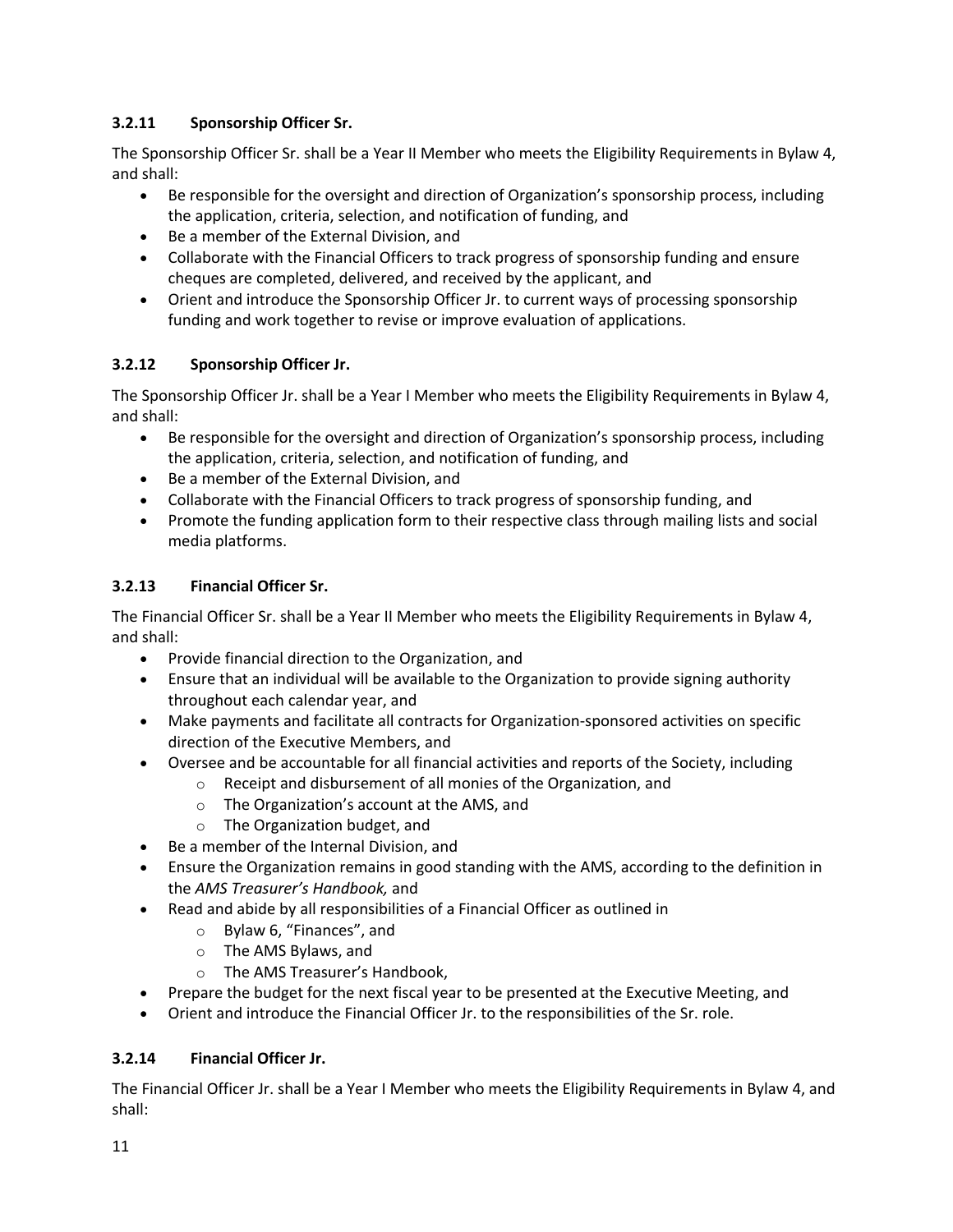#### **3.2.11 Sponsorship Officer Sr.**

The Sponsorship Officer Sr. shall be a Year II Member who meets the Eligibility Requirements in Bylaw 4, and shall:

- Be responsible for the oversight and direction of Organization's sponsorship process, including the application, criteria, selection, and notification of funding, and
- Be a member of the External Division, and
- Collaborate with the Financial Officers to track progress of sponsorship funding and ensure cheques are completed, delivered, and received by the applicant, and
- Orient and introduce the Sponsorship Officer Jr. to current ways of processing sponsorship funding and work together to revise or improve evaluation of applications.

#### **3.2.12 Sponsorship Officer Jr.**

The Sponsorship Officer Jr. shall be a Year I Member who meets the Eligibility Requirements in Bylaw 4, and shall:

- Be responsible for the oversight and direction of Organization's sponsorship process, including the application, criteria, selection, and notification of funding, and
- Be a member of the External Division, and
- Collaborate with the Financial Officers to track progress of sponsorship funding, and
- Promote the funding application form to their respective class through mailing lists and social media platforms.

#### **3.2.13 Financial Officer Sr.**

The Financial Officer Sr. shall be a Year II Member who meets the Eligibility Requirements in Bylaw 4, and shall:

- Provide financial direction to the Organization, and
- Ensure that an individual will be available to the Organization to provide signing authority throughout each calendar year, and
- Make payments and facilitate all contracts for Organization-sponsored activities on specific direction of the Executive Members, and
- Oversee and be accountable for all financial activities and reports of the Society, including
	- o Receipt and disbursement of all monies of the Organization, and
	- o The Organization's account at the AMS, and
	- o The Organization budget, and
- Be a member of the Internal Division, and
- Ensure the Organization remains in good standing with the AMS, according to the definition in the *AMS Treasurer's Handbook,* and
- Read and abide by all responsibilities of a Financial Officer as outlined in
	- o Bylaw 6, "Finances", and
	- o The AMS Bylaws, and
	- o The AMS Treasurer's Handbook,
- Prepare the budget for the next fiscal year to be presented at the Executive Meeting, and
- Orient and introduce the Financial Officer Jr. to the responsibilities of the Sr. role.

#### **3.2.14 Financial Officer Jr.**

The Financial Officer Jr. shall be a Year I Member who meets the Eligibility Requirements in Bylaw 4, and shall: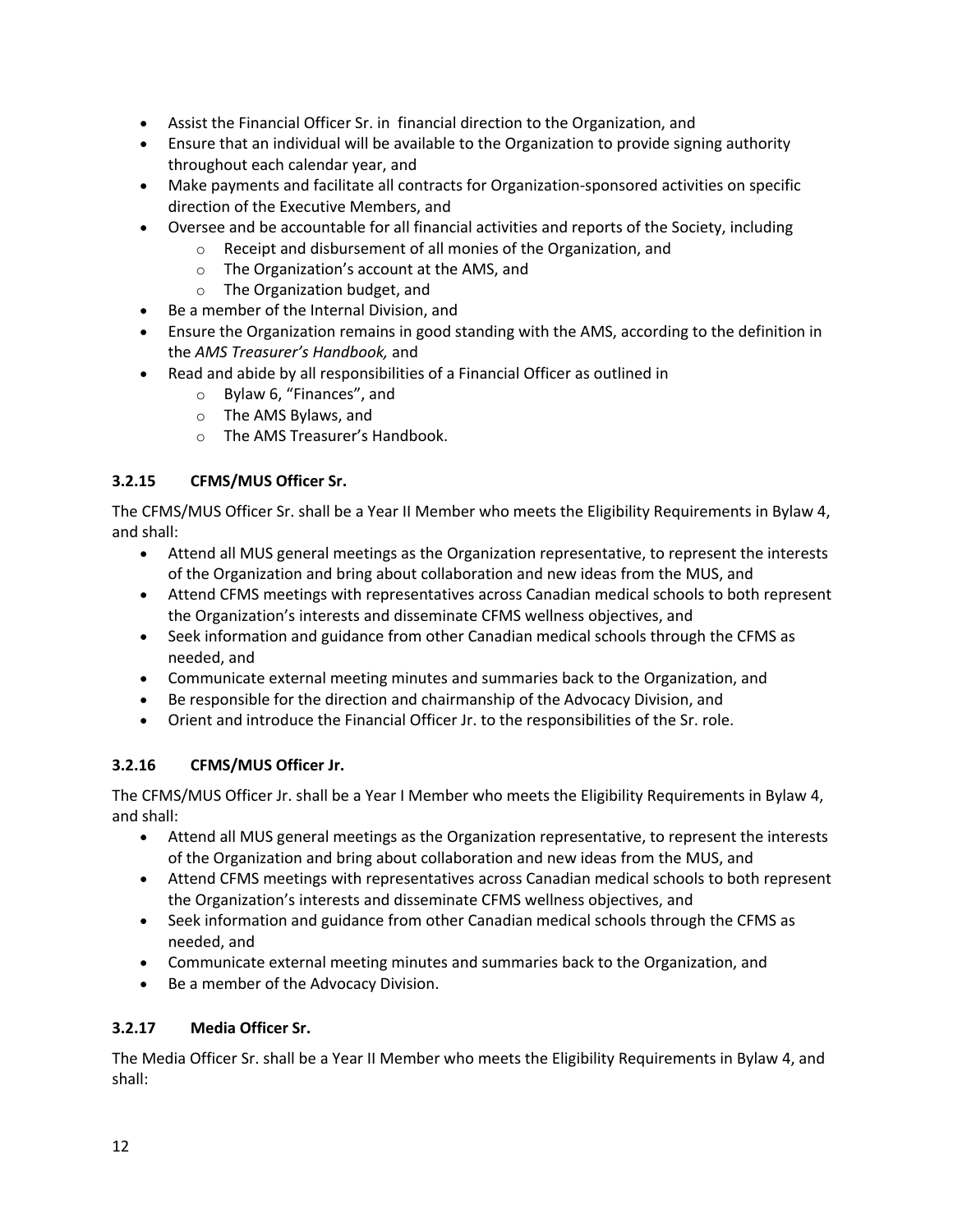- Assist the Financial Officer Sr. in financial direction to the Organization, and
- Ensure that an individual will be available to the Organization to provide signing authority throughout each calendar year, and
- Make payments and facilitate all contracts for Organization-sponsored activities on specific direction of the Executive Members, and
- Oversee and be accountable for all financial activities and reports of the Society, including
	- o Receipt and disbursement of all monies of the Organization, and
		- o The Organization's account at the AMS, and
		- o The Organization budget, and
- Be a member of the Internal Division, and
- Ensure the Organization remains in good standing with the AMS, according to the definition in the *AMS Treasurer's Handbook,* and
- Read and abide by all responsibilities of a Financial Officer as outlined in
	- o Bylaw 6, "Finances", and
	- o The AMS Bylaws, and
	- o The AMS Treasurer's Handbook.

#### **3.2.15 CFMS/MUS Officer Sr.**

The CFMS/MUS Officer Sr. shall be a Year II Member who meets the Eligibility Requirements in Bylaw 4, and shall:

- Attend all MUS general meetings as the Organization representative, to represent the interests of the Organization and bring about collaboration and new ideas from the MUS, and
- Attend CFMS meetings with representatives across Canadian medical schools to both represent the Organization's interests and disseminate CFMS wellness objectives, and
- Seek information and guidance from other Canadian medical schools through the CFMS as needed, and
- Communicate external meeting minutes and summaries back to the Organization, and
- Be responsible for the direction and chairmanship of the Advocacy Division, and
- Orient and introduce the Financial Officer Jr. to the responsibilities of the Sr. role.

#### **3.2.16 CFMS/MUS Officer Jr.**

The CFMS/MUS Officer Jr. shall be a Year I Member who meets the Eligibility Requirements in Bylaw 4, and shall:

- Attend all MUS general meetings as the Organization representative, to represent the interests of the Organization and bring about collaboration and new ideas from the MUS, and
- Attend CFMS meetings with representatives across Canadian medical schools to both represent the Organization's interests and disseminate CFMS wellness objectives, and
- Seek information and guidance from other Canadian medical schools through the CFMS as needed, and
- Communicate external meeting minutes and summaries back to the Organization, and
- Be a member of the Advocacy Division.

#### **3.2.17 Media Officer Sr.**

The Media Officer Sr. shall be a Year II Member who meets the Eligibility Requirements in Bylaw 4, and shall: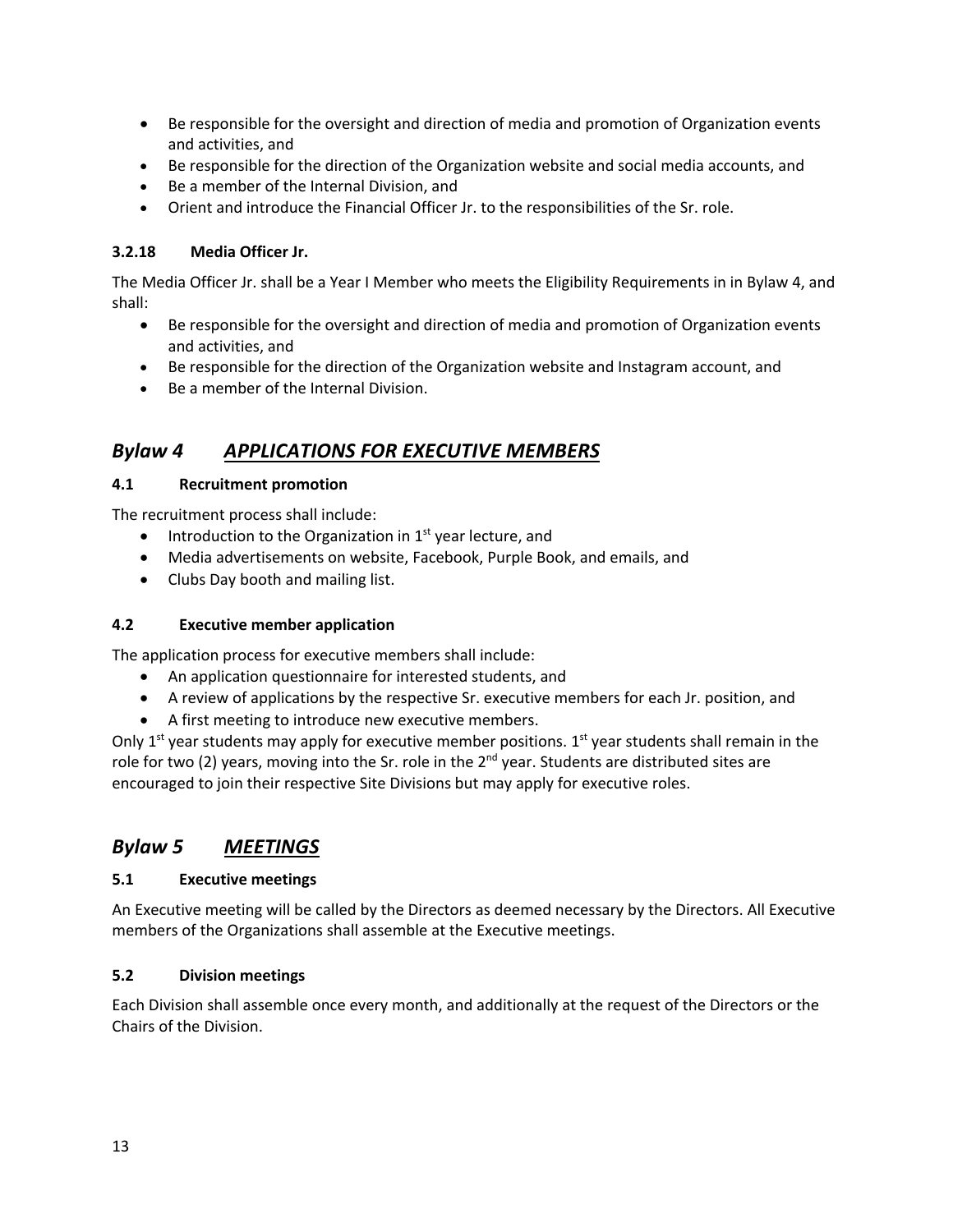- Be responsible for the oversight and direction of media and promotion of Organization events and activities, and
- Be responsible for the direction of the Organization website and social media accounts, and
- Be a member of the Internal Division, and
- Orient and introduce the Financial Officer Jr. to the responsibilities of the Sr. role.

#### **3.2.18 Media Officer Jr.**

The Media Officer Jr. shall be a Year I Member who meets the Eligibility Requirements in in Bylaw 4, and shall:

- Be responsible for the oversight and direction of media and promotion of Organization events and activities, and
- Be responsible for the direction of the Organization website and Instagram account, and
- Be a member of the Internal Division.

# *Bylaw 4 APPLICATIONS FOR EXECUTIVE MEMBERS*

#### **4.1 Recruitment promotion**

The recruitment process shall include:

- Introduction to the Organization in  $1<sup>st</sup>$  year lecture, and
- Media advertisements on website, Facebook, Purple Book, and emails, and
- Clubs Day booth and mailing list.

#### **4.2 Executive member application**

The application process for executive members shall include:

- An application questionnaire for interested students, and
- A review of applications by the respective Sr. executive members for each Jr. position, and
- A first meeting to introduce new executive members.

Only 1<sup>st</sup> year students may apply for executive member positions. 1<sup>st</sup> year students shall remain in the role for two (2) years, moving into the Sr. role in the  $2^{nd}$  year. Students are distributed sites are encouraged to join their respective Site Divisions but may apply for executive roles.

# *Bylaw 5 MEETINGS*

#### **5.1 Executive meetings**

An Executive meeting will be called by the Directors as deemed necessary by the Directors. All Executive members of the Organizations shall assemble at the Executive meetings.

#### **5.2 Division meetings**

Each Division shall assemble once every month, and additionally at the request of the Directors or the Chairs of the Division.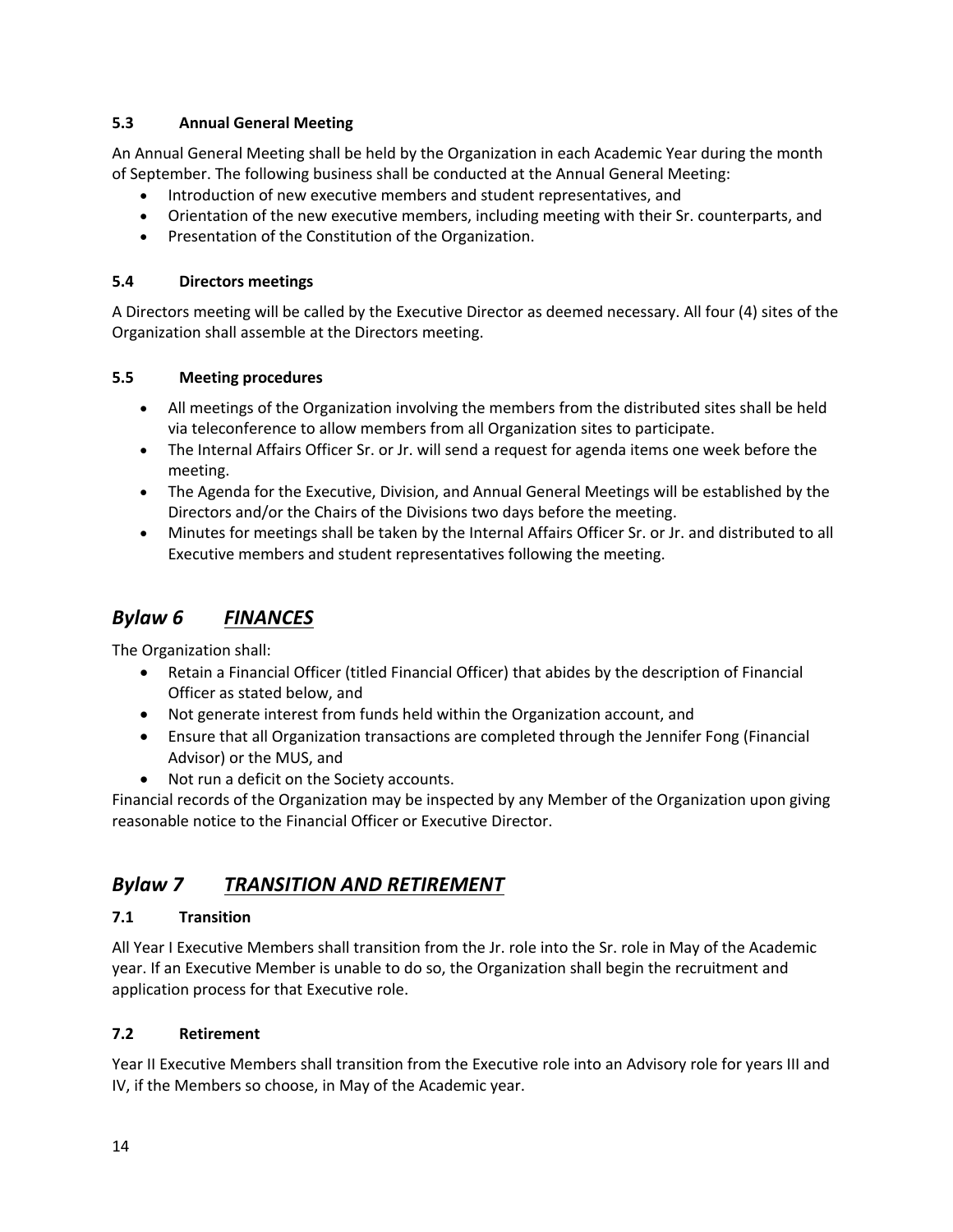#### **5.3 Annual General Meeting**

An Annual General Meeting shall be held by the Organization in each Academic Year during the month of September. The following business shall be conducted at the Annual General Meeting:

- Introduction of new executive members and student representatives, and
- Orientation of the new executive members, including meeting with their Sr. counterparts, and
- Presentation of the Constitution of the Organization.

#### **5.4 Directors meetings**

A Directors meeting will be called by the Executive Director as deemed necessary. All four (4) sites of the Organization shall assemble at the Directors meeting.

#### **5.5 Meeting procedures**

- All meetings of the Organization involving the members from the distributed sites shall be held via teleconference to allow members from all Organization sites to participate.
- The Internal Affairs Officer Sr. or Jr. will send a request for agenda items one week before the meeting.
- The Agenda for the Executive, Division, and Annual General Meetings will be established by the Directors and/or the Chairs of the Divisions two days before the meeting.
- Minutes for meetings shall be taken by the Internal Affairs Officer Sr. or Jr. and distributed to all Executive members and student representatives following the meeting.

# *Bylaw 6 FINANCES*

The Organization shall:

- Retain a Financial Officer (titled Financial Officer) that abides by the description of Financial Officer as stated below, and
- Not generate interest from funds held within the Organization account, and
- Ensure that all Organization transactions are completed through the Jennifer Fong (Financial Advisor) or the MUS, and
- Not run a deficit on the Society accounts.

Financial records of the Organization may be inspected by any Member of the Organization upon giving reasonable notice to the Financial Officer or Executive Director.

# *Bylaw 7 TRANSITION AND RETIREMENT*

#### **7.1 Transition**

All Year I Executive Members shall transition from the Jr. role into the Sr. role in May of the Academic year. If an Executive Member is unable to do so, the Organization shall begin the recruitment and application process for that Executive role.

#### **7.2 Retirement**

Year II Executive Members shall transition from the Executive role into an Advisory role for years III and IV, if the Members so choose, in May of the Academic year.